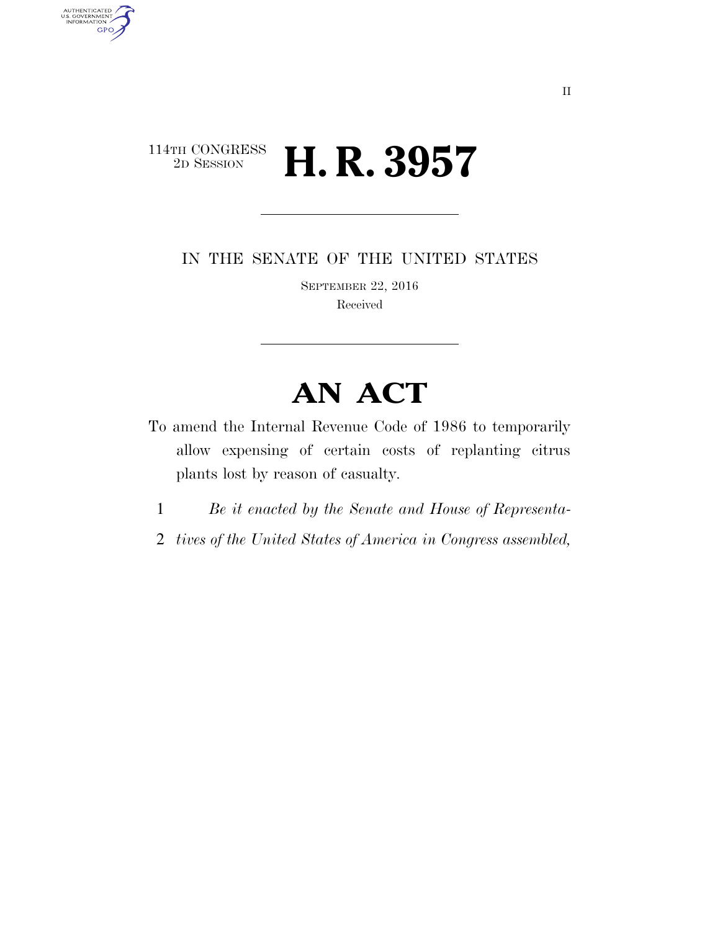## 114TH CONGRESS<br>2D SESSION 2D SESSION **H. R. 3957**

AUTHENTICATED<br>U.S. GOVERNMENT<br>INFORMATION

**GPO** 

IN THE SENATE OF THE UNITED STATES

SEPTEMBER 22, 2016 Received

## **AN ACT**

- To amend the Internal Revenue Code of 1986 to temporarily allow expensing of certain costs of replanting citrus plants lost by reason of casualty.
	- 1 *Be it enacted by the Senate and House of Representa-*
	- 2 *tives of the United States of America in Congress assembled,*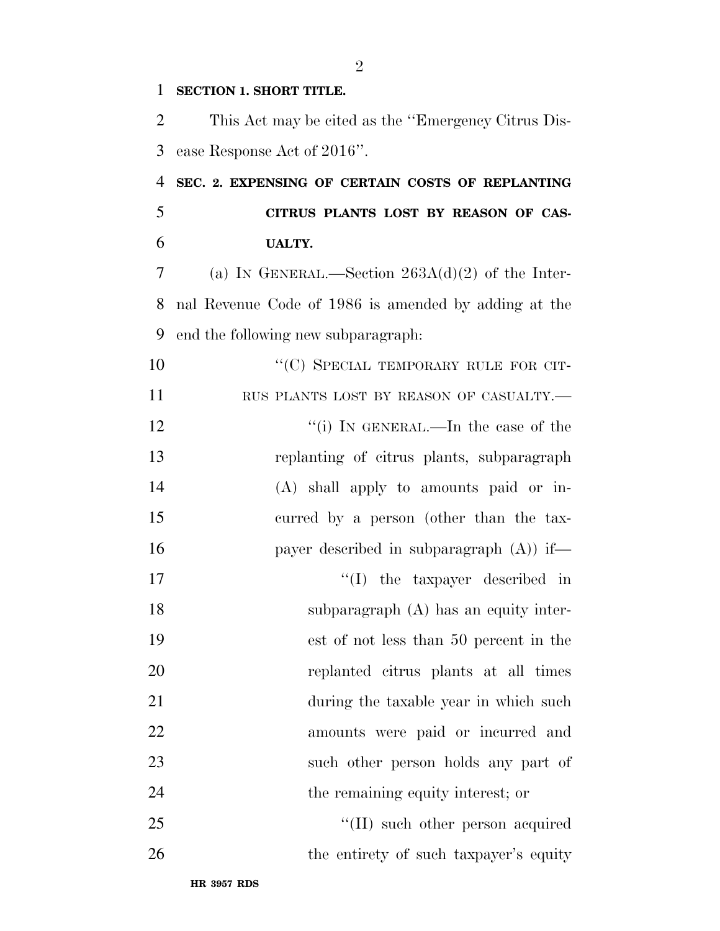| 1  | <b>SECTION 1. SHORT TITLE.</b>                       |
|----|------------------------------------------------------|
| 2  | This Act may be cited as the "Emergency Citrus Dis-  |
| 3  | ease Response Act of 2016".                          |
| 4  | SEC. 2. EXPENSING OF CERTAIN COSTS OF REPLANTING     |
| 5  | CITRUS PLANTS LOST BY REASON OF CAS-                 |
| 6  | <b>UALTY.</b>                                        |
| 7  | (a) IN GENERAL.—Section $263A(d)(2)$ of the Inter-   |
| 8  | nal Revenue Code of 1986 is amended by adding at the |
| 9  | end the following new subparagraph:                  |
| 10 | "(C) SPECIAL TEMPORARY RULE FOR CIT-                 |
| 11 | RUS PLANTS LOST BY REASON OF CASUALTY.               |
| 12 | "(i) IN GENERAL.—In the case of the                  |
| 13 | replanting of citrus plants, subparagraph            |
| 14 | (A) shall apply to amounts paid or in-               |
| 15 | curred by a person (other than the tax-              |
| 16 | payer described in subparagraph $(A)$ if—            |
| 17 | $\lq\lq$ the taxpayer described in                   |
| 18 | subparagraph (A) has an equity inter-                |
| 19 | est of not less than 50 percent in the               |
| 20 | replanted citrus plants at all times                 |
| 21 | during the taxable year in which such                |
| 22 | amounts were paid or incurred and                    |
| 23 | such other person holds any part of                  |
| 24 | the remaining equity interest; or                    |
| 25 | $\lq\lq$ (II) such other person acquired             |
| 26 | the entirety of such taxpayer's equity               |